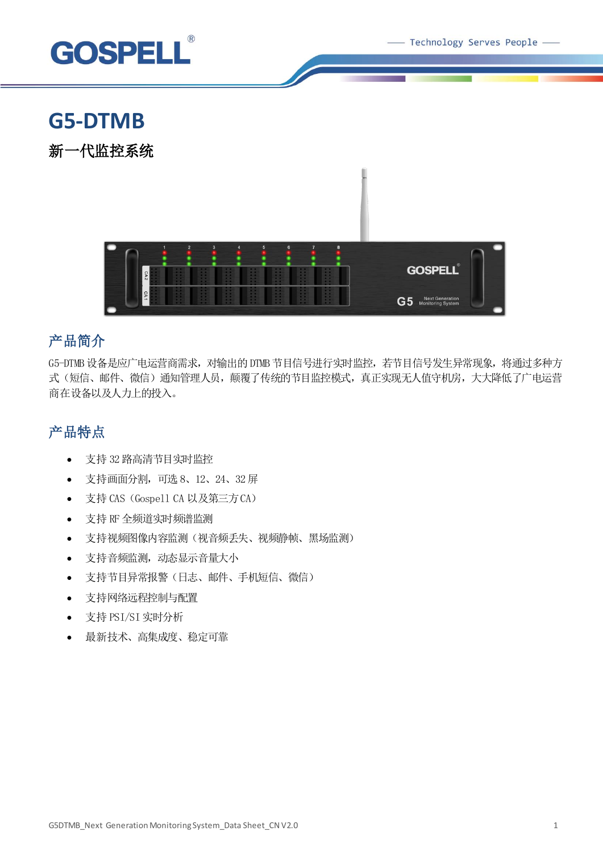Technology Serves People -



# **G5-DTMB**

新一代监控系统



## 产品简介

G5-DTMB 设备是应广电运营商需求, 对输出的 DTMB 节目信号进行实时监控, 若节目信号发生异常现象, 将通过多种方 式(短信、邮件、微信)通知管理人员, 颠覆了传统的节目监控模式, 真正实现无人值守机房, 大大降低了广电运营 商在设备以及人力上的投入。

## 产品特点

- 支持 32 路高清节目实时监控
- 支持画面分割,可选 8、12、24、32屏
- 支持 CAS (Gospell CA 以及第三方CA)
- 支持 RF 全频道实时频谱监测
- 支持视频图像内容监测(视音频丢失、视频静帧、黑场监测)
- 支持音频监测,动态显示音量大小
- 支持节目异常报警(日志、邮件、手机短信、微信)
- 支持网络远程控制与配置
- 支持 PSI/SI 实时分析
- 最新技术、高集成度、稳定可靠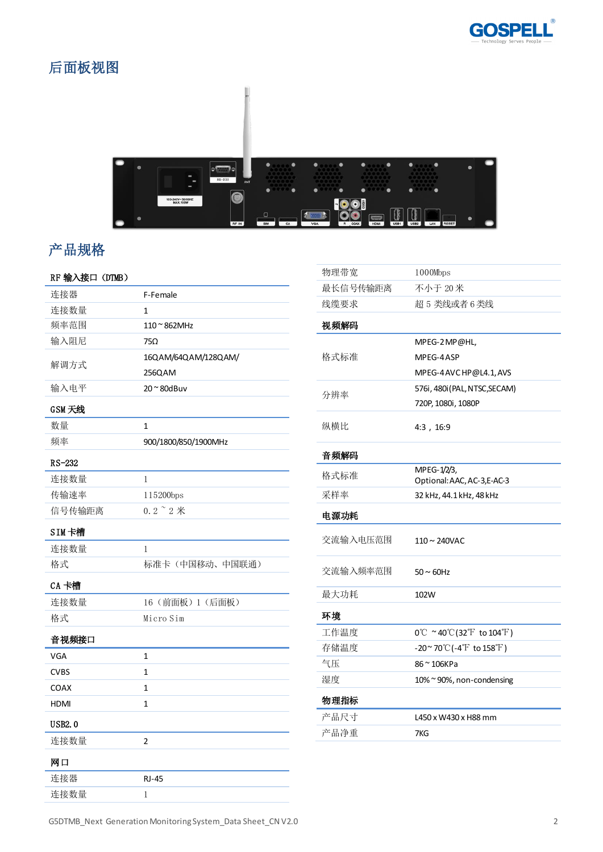

## 后面板视图



## 产品规格

## RF 输入接口(DTMB)

| 连接器           | F-Female               |
|---------------|------------------------|
| 连接数量          | 1                      |
| 频率范围          | $110$ $^{\sim}$ 862MHz |
| 输入阻尼          | 75Ω                    |
| 解调方式          | 16QAM/64QAM/128QAM/    |
|               | 256QAM                 |
| 输入电平          | $20^\sim 80$ dBuv      |
| GSM 天线        |                        |
| 数量            | $\mathbf{1}$           |
| 频率            | 900/1800/850/1900MHz   |
| RS-232        |                        |
| 连接数量          | 1                      |
| 传输速率          | 115200bps              |
| 信号传输距离        | $0.2$ $\degree$ $2$ 米  |
| SIM卡槽         |                        |
| 连接数量          | 1                      |
| 格式            | 标准卡(中国移动、中国联通)         |
| CA 卡槽         |                        |
| 连接数量          | 16 (前面板) 1 (后面板)       |
| 格式            | Micro Sim              |
| 音视频接口         |                        |
| VGA           | 1                      |
| <b>CVBS</b>   | 1                      |
| <b>COAX</b>   | $\mathbf{1}$           |
| HDMI          | $\mathbf{1}$           |
| <b>USB2.0</b> |                        |
| 连接数量          | $\overline{2}$         |
| 网口            |                        |
| 连接器           | <b>RJ-45</b>           |
| 连接数量          | 1                      |

| 物理带宽     | 1000Mbps                                                            |
|----------|---------------------------------------------------------------------|
| 最长信号传输距离 | 不小于 20米                                                             |
| 线缆要求     | 超 5 类线或者 6 类线                                                       |
| 视频解码     |                                                                     |
| 格式标准     | MPEG-2 MP@HL,                                                       |
|          | MPEG-4ASP                                                           |
|          | MPEG-4 AVC HP@L4.1, AVS                                             |
| 分辨率      | 576i, 480i (PAL, NTSC, SECAM)                                       |
|          | 720P, 1080i, 1080P                                                  |
| 纵横比      | 4:3, 16:9                                                           |
| 音频解码     |                                                                     |
| 格式标准     | MPEG-1/2/3,                                                         |
| 采样率      | Optional: AAC, AC-3, E-AC-3<br>32 kHz, 44.1 kHz, 48 kHz             |
|          |                                                                     |
| 电源功耗     |                                                                     |
| 交流输入电压范围 | $110 \sim 240$ VAC                                                  |
| 交流输入频率范围 | $50 \sim 60$ Hz                                                     |
| 最大功耗     | 102W                                                                |
| 环境       |                                                                     |
| 工作温度     | $0^{\circ}$ C ~40 $^{\circ}$ C(32 $^{\circ}$ F to 104 $^{\circ}$ F) |
| 存储温度     | $-20^\sim 70^\circ\text{C}$ (-4 $\text{F}$ to 158 $\text{F}$ )      |
| 气压       | 86 ~ 106KPa                                                         |
| 湿度       | $10\%$ $\sim$ 90%, non-condensing                                   |
| 物理指标     |                                                                     |
| 产品尺寸     | L450 x W430 x H88 mm                                                |
| 产品净重     | 7KG                                                                 |
|          |                                                                     |